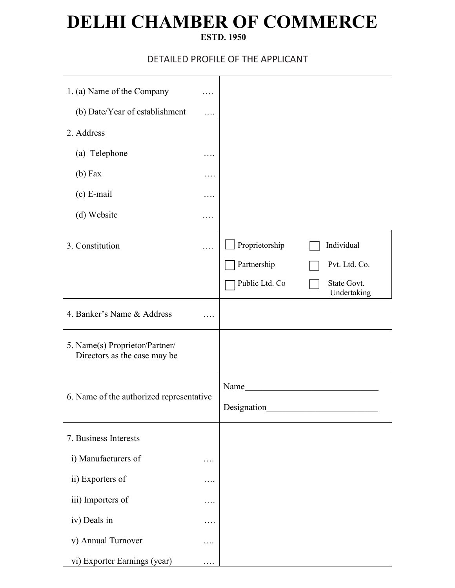# **DELHI CHAMBER OF COMMERCE**

#### **ESTD. 1950**

### DETAILED PROFILE OF THE APPLICANT

| 1. (a) Name of the Company                                     | .        |                                                 |                                                           |
|----------------------------------------------------------------|----------|-------------------------------------------------|-----------------------------------------------------------|
| (b) Date/Year of establishment                                 | .        |                                                 |                                                           |
| 2. Address                                                     |          |                                                 |                                                           |
| (a) Telephone                                                  | .        |                                                 |                                                           |
| $(b)$ Fax                                                      | .        |                                                 |                                                           |
| (c) E-mail                                                     | .        |                                                 |                                                           |
| (d) Website                                                    | .        |                                                 |                                                           |
| 3. Constitution                                                | .        | Proprietorship<br>Partnership<br>Public Ltd. Co | Individual<br>Pvt. Ltd. Co.<br>State Govt.<br>Undertaking |
| 4. Banker's Name & Address                                     | .        |                                                 |                                                           |
| 5. Name(s) Proprietor/Partner/<br>Directors as the case may be |          |                                                 |                                                           |
| 6. Name of the authorized representative                       |          | Name<br>Designation                             | <u> 1980 - Jan Stein Stein, fransk politik (f. 1980)</u>  |
| 7. Business Interests                                          |          |                                                 |                                                           |
| i) Manufacturers of                                            | $\cdots$ |                                                 |                                                           |
| ii) Exporters of                                               | .        |                                                 |                                                           |
| iii) Importers of                                              | .        |                                                 |                                                           |
| iv) Deals in                                                   | $\cdots$ |                                                 |                                                           |
| v) Annual Turnover                                             | $\cdots$ |                                                 |                                                           |
| vi) Exporter Earnings (year)                                   |          |                                                 |                                                           |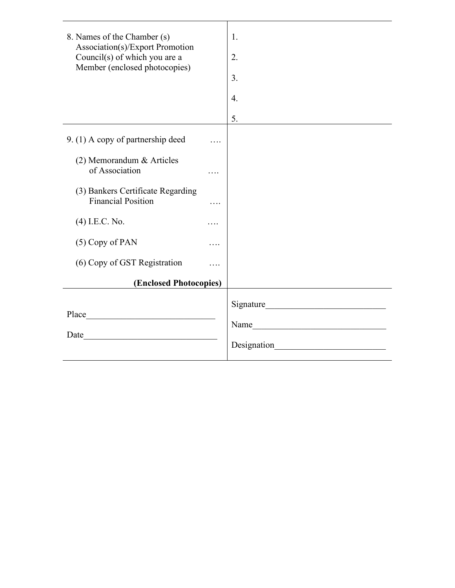| 8. Names of the Chamber (s)                                      |          | 1. |  |
|------------------------------------------------------------------|----------|----|--|
| Association(s)/Export Promotion<br>Council(s) of which you are a |          | 2. |  |
| Member (enclosed photocopies)                                    |          | 3. |  |
|                                                                  |          | 4. |  |
|                                                                  |          | 5. |  |
| 9. (1) A copy of partnership deed                                | $\cdots$ |    |  |
| (2) Memorandum & Articles<br>of Association                      | .        |    |  |
| (3) Bankers Certificate Regarding<br><b>Financial Position</b>   | .        |    |  |
| (4) I.E.C. No.                                                   | .        |    |  |
| (5) Copy of PAN                                                  | .        |    |  |
| (6) Copy of GST Registration                                     | .        |    |  |
| (Enclosed Photocopies)                                           |          |    |  |
| Place                                                            |          |    |  |
| <u> 1989 - Johann Barbara, martxa al</u>                         |          |    |  |
| <u> 1990 - Johann Barbara, martxa a</u><br>Date                  |          |    |  |